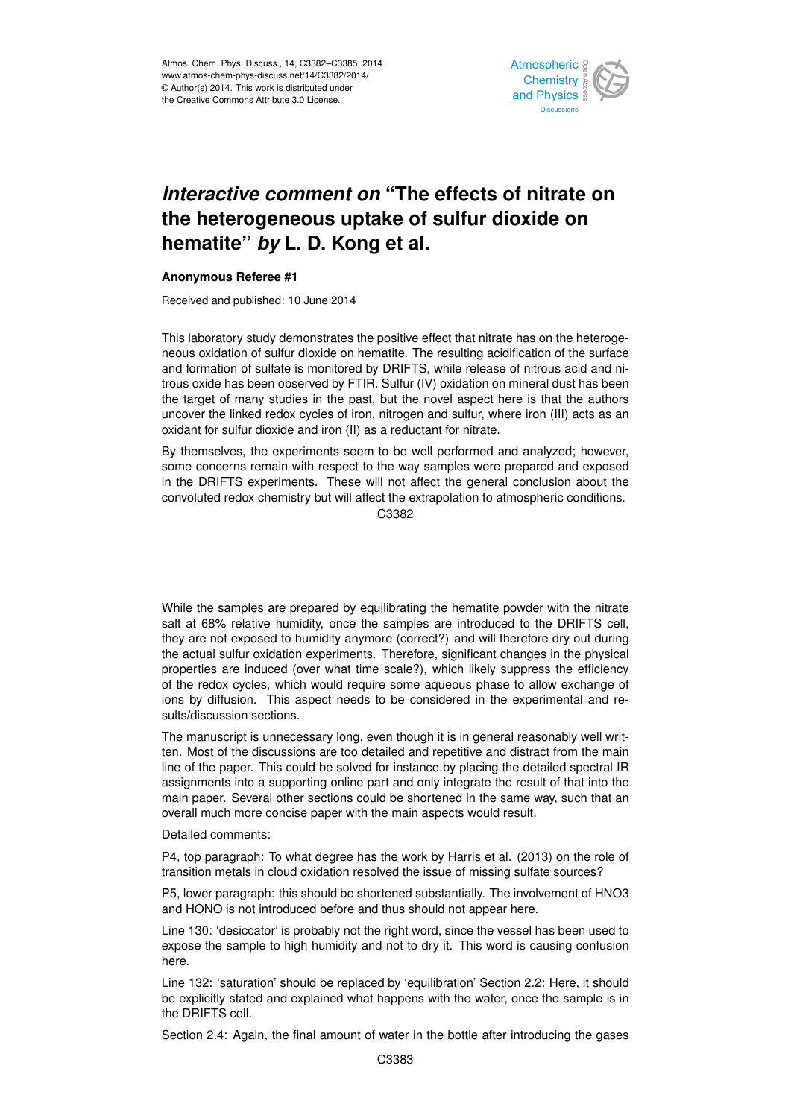

## *Interactive comment on* **"The effects of nitrate on the heterogeneous uptake of sulfur dioxide on hematite"** *by* **L. D. Kong et al.**

## **Anonymous Referee #1**

Received and published: 10 June 2014

This laboratory study demonstrates the positive effect that nitrate has on the heterogeneous oxidation of sulfur dioxide on hematite. The resulting acidification of the surface and formation of sulfate is monitored by DRIFTS, while release of nitrous acid and nitrous oxide has been observed by FTIR. Sulfur (IV) oxidation on mineral dust has been the target of many studies in the past, but the novel aspect here is that the authors uncover the linked redox cycles of iron, nitrogen and sulfur, where iron (III) acts as an oxidant for sulfur dioxide and iron (II) as a reductant for nitrate.

By themselves, the experiments seem to be well performed and analyzed; however, some concerns remain with respect to the way samples were prepared and exposed in the DRIFTS experiments. These will not affect the general conclusion about the convoluted redox chemistry but will affect the extrapolation to atmospheric conditions.

C3382

While the samples are prepared by equilibrating the hematite powder with the nitrate salt at 68% relative humidity, once the samples are introduced to the DRIFTS cell, they are not exposed to humidity anymore (correct?) and will therefore dry out during the actual sulfur oxidation experiments. Therefore, significant changes in the physical properties are induced (over what time scale?), which likely suppress the efficiency of the redox cycles, which would require some aqueous phase to allow exchange of ions by diffusion. This aspect needs to be considered in the experimental and results/discussion sections.

The manuscript is unnecessary long, even though it is in general reasonably well written. Most of the discussions are too detailed and repetitive and distract from the main line of the paper. This could be solved for instance by placing the detailed spectral IR assignments into a supporting online part and only integrate the result of that into the main paper. Several other sections could be shortened in the same way, such that an overall much more concise paper with the main aspects would result.

Detailed comments:

P4, top paragraph: To what degree has the work by Harris et al. (2013) on the role of transition metals in cloud oxidation resolved the issue of missing sulfate sources?

P5, lower paragraph: this should be shortened substantially. The involvement of HNO3 and HONO is not introduced before and thus should not appear here.

Line 130: 'desiccator' is probably not the right word, since the vessel has been used to expose the sample to high humidity and not to dry it. This word is causing confusion here.

Line 132: 'saturation' should be replaced by 'equilibration' Section 2.2: Here, it should be explicitly stated and explained what happens with the water, once the sample is in the DRIFTS cell.

Section 2.4: Again, the final amount of water in the bottle after introducing the gases